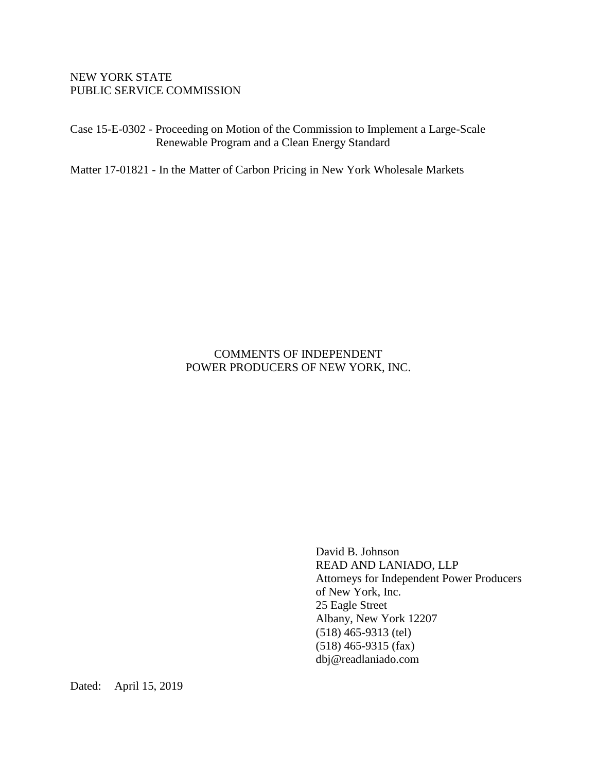### NEW YORK STATE PUBLIC SERVICE COMMISSION

Case 15-E-0302 - Proceeding on Motion of the Commission to Implement a Large-Scale Renewable Program and a Clean Energy Standard

Matter 17-01821 - In the Matter of Carbon Pricing in New York Wholesale Markets

# COMMENTS OF INDEPENDENT POWER PRODUCERS OF NEW YORK, INC.

David B. Johnson READ AND LANIADO, LLP Attorneys for Independent Power Producers of New York, Inc. 25 Eagle Street Albany, New York 12207 (518) 465-9313 (tel) (518) 465-9315 (fax) dbj@readlaniado.com

Dated: April 15, 2019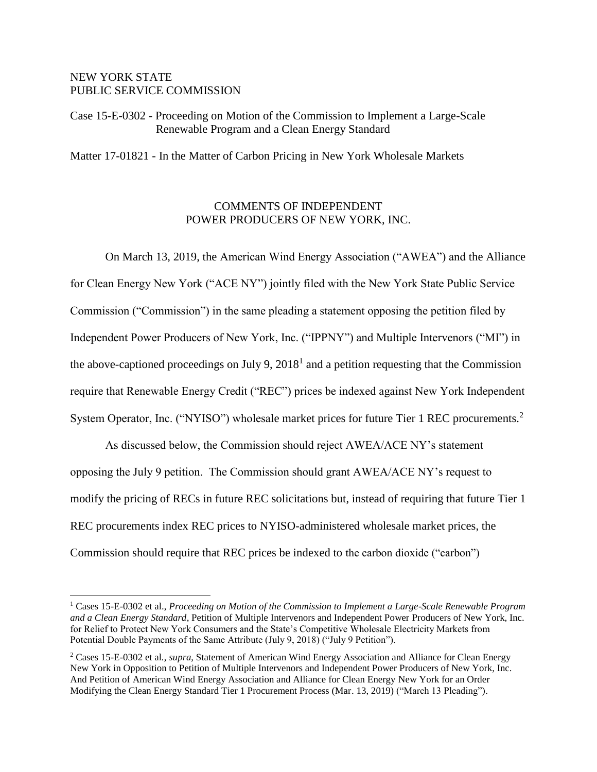#### NEW YORK STATE PUBLIC SERVICE COMMISSION

 $\overline{a}$ 

Case 15-E-0302 - Proceeding on Motion of the Commission to Implement a Large-Scale Renewable Program and a Clean Energy Standard

Matter 17-01821 - In the Matter of Carbon Pricing in New York Wholesale Markets

### COMMENTS OF INDEPENDENT POWER PRODUCERS OF NEW YORK, INC.

On March 13, 2019, the American Wind Energy Association ("AWEA") and the Alliance for Clean Energy New York ("ACE NY") jointly filed with the New York State Public Service Commission ("Commission") in the same pleading a statement opposing the petition filed by Independent Power Producers of New York, Inc. ("IPPNY") and Multiple Intervenors ("MI") in the above-captioned proceedings on July 9,  $2018<sup>1</sup>$  and a petition requesting that the Commission require that Renewable Energy Credit ("REC") prices be indexed against New York Independent System Operator, Inc. ("NYISO") wholesale market prices for future Tier 1 REC procurements.<sup>2</sup>

As discussed below, the Commission should reject AWEA/ACE NY's statement opposing the July 9 petition. The Commission should grant AWEA/ACE NY's request to modify the pricing of RECs in future REC solicitations but, instead of requiring that future Tier 1 REC procurements index REC prices to NYISO-administered wholesale market prices, the Commission should require that REC prices be indexed to the carbon dioxide ("carbon")

<sup>&</sup>lt;sup>1</sup> Cases 15-E-0302 et al., *Proceeding on Motion of the Commission to Implement a Large-Scale Renewable Program and a Clean Energy Standard*, Petition of Multiple Intervenors and Independent Power Producers of New York, Inc. for Relief to Protect New York Consumers and the State's Competitive Wholesale Electricity Markets from Potential Double Payments of the Same Attribute (July 9, 2018) ("July 9 Petition").

<sup>2</sup> Cases 15-E-0302 et al*.*, *supra*, Statement of American Wind Energy Association and Alliance for Clean Energy New York in Opposition to Petition of Multiple Intervenors and Independent Power Producers of New York, Inc. And Petition of American Wind Energy Association and Alliance for Clean Energy New York for an Order Modifying the Clean Energy Standard Tier 1 Procurement Process (Mar. 13, 2019) ("March 13 Pleading").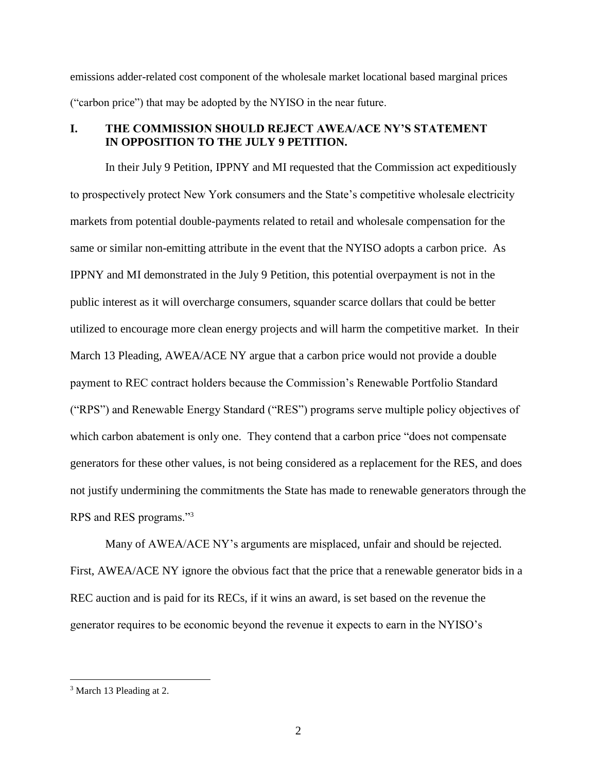emissions adder-related cost component of the wholesale market locational based marginal prices ("carbon price") that may be adopted by the NYISO in the near future.

### **I. THE COMMISSION SHOULD REJECT AWEA/ACE NY'S STATEMENT IN OPPOSITION TO THE JULY 9 PETITION.**

In their July 9 Petition, IPPNY and MI requested that the Commission act expeditiously to prospectively protect New York consumers and the State's competitive wholesale electricity markets from potential double-payments related to retail and wholesale compensation for the same or similar non-emitting attribute in the event that the NYISO adopts a carbon price. As IPPNY and MI demonstrated in the July 9 Petition, this potential overpayment is not in the public interest as it will overcharge consumers, squander scarce dollars that could be better utilized to encourage more clean energy projects and will harm the competitive market. In their March 13 Pleading, AWEA/ACE NY argue that a carbon price would not provide a double payment to REC contract holders because the Commission's Renewable Portfolio Standard ("RPS") and Renewable Energy Standard ("RES") programs serve multiple policy objectives of which carbon abatement is only one. They contend that a carbon price "does not compensate" generators for these other values, is not being considered as a replacement for the RES, and does not justify undermining the commitments the State has made to renewable generators through the RPS and RES programs."<sup>3</sup>

Many of AWEA/ACE NY's arguments are misplaced, unfair and should be rejected. First, AWEA/ACE NY ignore the obvious fact that the price that a renewable generator bids in a REC auction and is paid for its RECs, if it wins an award, is set based on the revenue the generator requires to be economic beyond the revenue it expects to earn in the NYISO's

<sup>3</sup> March 13 Pleading at 2.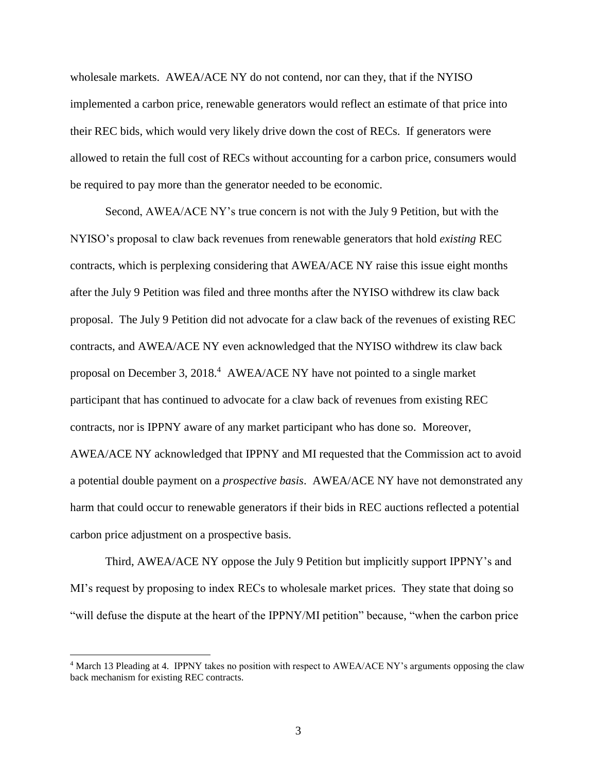wholesale markets. AWEA/ACE NY do not contend, nor can they, that if the NYISO implemented a carbon price, renewable generators would reflect an estimate of that price into their REC bids, which would very likely drive down the cost of RECs. If generators were allowed to retain the full cost of RECs without accounting for a carbon price, consumers would be required to pay more than the generator needed to be economic.

Second, AWEA/ACE NY's true concern is not with the July 9 Petition, but with the NYISO's proposal to claw back revenues from renewable generators that hold *existing* REC contracts, which is perplexing considering that AWEA/ACE NY raise this issue eight months after the July 9 Petition was filed and three months after the NYISO withdrew its claw back proposal. The July 9 Petition did not advocate for a claw back of the revenues of existing REC contracts, and AWEA/ACE NY even acknowledged that the NYISO withdrew its claw back proposal on December 3, 2018.<sup>4</sup> AWEA/ACE NY have not pointed to a single market participant that has continued to advocate for a claw back of revenues from existing REC contracts, nor is IPPNY aware of any market participant who has done so. Moreover, AWEA/ACE NY acknowledged that IPPNY and MI requested that the Commission act to avoid a potential double payment on a *prospective basis*. AWEA/ACE NY have not demonstrated any harm that could occur to renewable generators if their bids in REC auctions reflected a potential carbon price adjustment on a prospective basis.

Third, AWEA/ACE NY oppose the July 9 Petition but implicitly support IPPNY's and MI's request by proposing to index RECs to wholesale market prices. They state that doing so "will defuse the dispute at the heart of the IPPNY/MI petition" because, "when the carbon price

<sup>4</sup> March 13 Pleading at 4. IPPNY takes no position with respect to AWEA/ACE NY's arguments opposing the claw back mechanism for existing REC contracts.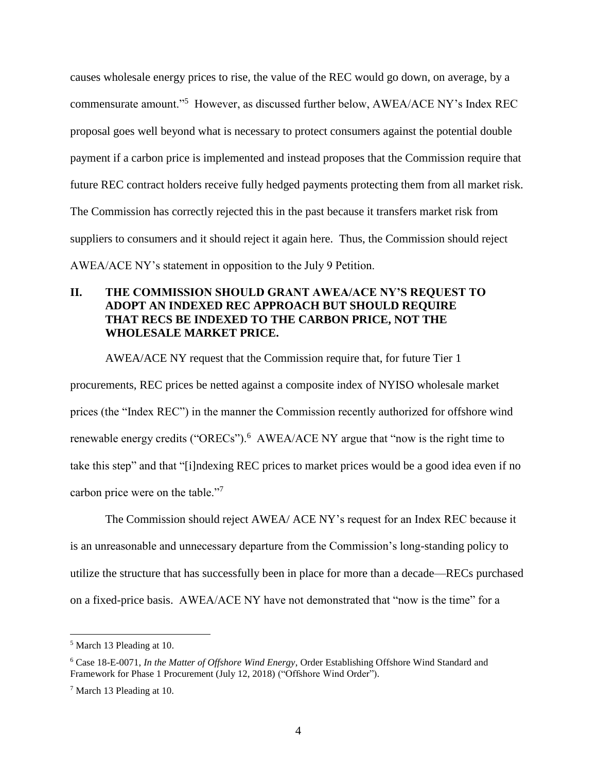causes wholesale energy prices to rise, the value of the REC would go down, on average, by a commensurate amount."<sup>5</sup> However, as discussed further below, AWEA/ACE NY's Index REC proposal goes well beyond what is necessary to protect consumers against the potential double payment if a carbon price is implemented and instead proposes that the Commission require that future REC contract holders receive fully hedged payments protecting them from all market risk. The Commission has correctly rejected this in the past because it transfers market risk from suppliers to consumers and it should reject it again here. Thus, the Commission should reject AWEA/ACE NY's statement in opposition to the July 9 Petition.

# **II. THE COMMISSION SHOULD GRANT AWEA/ACE NY'S REQUEST TO ADOPT AN INDEXED REC APPROACH BUT SHOULD REQUIRE THAT RECS BE INDEXED TO THE CARBON PRICE, NOT THE WHOLESALE MARKET PRICE.**

AWEA/ACE NY request that the Commission require that, for future Tier 1 procurements, REC prices be netted against a composite index of NYISO wholesale market prices (the "Index REC") in the manner the Commission recently authorized for offshore wind renewable energy credits ("ORECs").<sup>6</sup> AWEA/ACE NY argue that "now is the right time to take this step" and that "[i]ndexing REC prices to market prices would be a good idea even if no carbon price were on the table."<sup>7</sup>

The Commission should reject AWEA/ ACE NY's request for an Index REC because it is an unreasonable and unnecessary departure from the Commission's long-standing policy to utilize the structure that has successfully been in place for more than a decade—RECs purchased on a fixed-price basis. AWEA/ACE NY have not demonstrated that "now is the time" for a

<sup>5</sup> March 13 Pleading at 10.

<sup>6</sup> Case 18-E-0071, *In the Matter of Offshore Wind Energy*, Order Establishing Offshore Wind Standard and Framework for Phase 1 Procurement (July 12, 2018) ("Offshore Wind Order").

<sup>7</sup> March 13 Pleading at 10.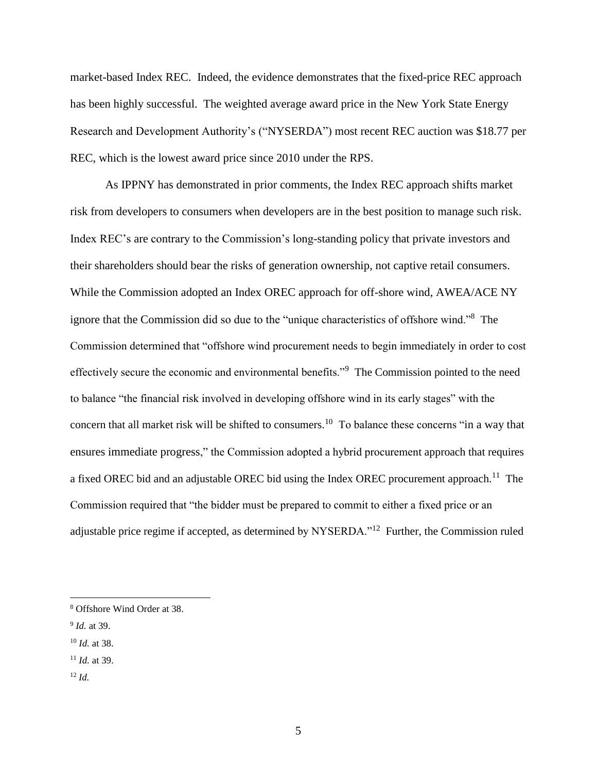market-based Index REC. Indeed, the evidence demonstrates that the fixed-price REC approach has been highly successful. The weighted average award price in the New York State Energy Research and Development Authority's ("NYSERDA") most recent REC auction was \$18.77 per REC, which is the lowest award price since 2010 under the RPS.

As IPPNY has demonstrated in prior comments, the Index REC approach shifts market risk from developers to consumers when developers are in the best position to manage such risk. Index REC's are contrary to the Commission's long-standing policy that private investors and their shareholders should bear the risks of generation ownership, not captive retail consumers. While the Commission adopted an Index OREC approach for off-shore wind, AWEA/ACE NY ignore that the Commission did so due to the "unique characteristics of offshore wind."<sup>8</sup> The Commission determined that "offshore wind procurement needs to begin immediately in order to cost effectively secure the economic and environmental benefits."<sup>9</sup> The Commission pointed to the need to balance "the financial risk involved in developing offshore wind in its early stages" with the concern that all market risk will be shifted to consumers.<sup>10</sup> To balance these concerns "in a way that ensures immediate progress," the Commission adopted a hybrid procurement approach that requires a fixed OREC bid and an adjustable OREC bid using the Index OREC procurement approach.<sup>11</sup> The Commission required that "the bidder must be prepared to commit to either a fixed price or an adjustable price regime if accepted, as determined by NYSERDA."<sup>12</sup> Further, the Commission ruled

- <sup>11</sup> *Id.* at 39.
- <sup>12</sup> *Id.*

<sup>8</sup> Offshore Wind Order at 38.

<sup>9</sup> *Id.* at 39.

<sup>10</sup> *Id.* at 38.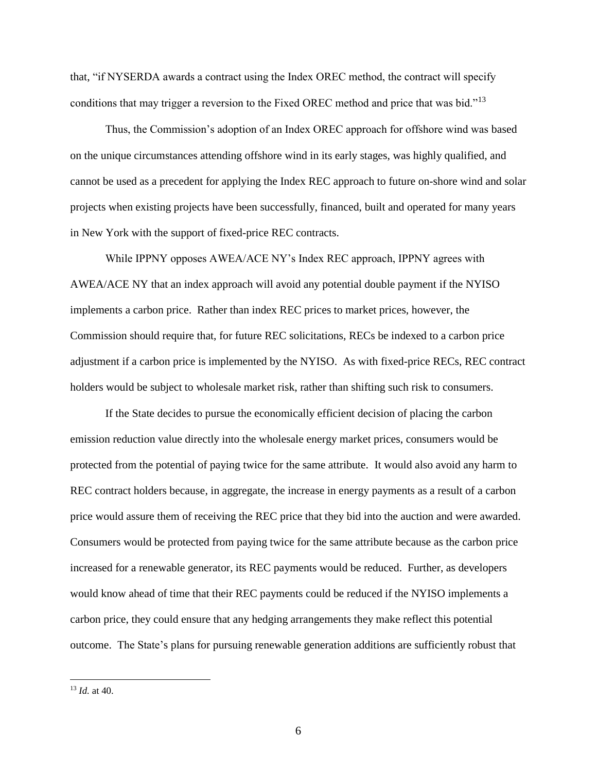that, "if NYSERDA awards a contract using the Index OREC method, the contract will specify conditions that may trigger a reversion to the Fixed OREC method and price that was bid."<sup>13</sup>

Thus, the Commission's adoption of an Index OREC approach for offshore wind was based on the unique circumstances attending offshore wind in its early stages, was highly qualified, and cannot be used as a precedent for applying the Index REC approach to future on-shore wind and solar projects when existing projects have been successfully, financed, built and operated for many years in New York with the support of fixed-price REC contracts.

While IPPNY opposes AWEA/ACE NY's Index REC approach, IPPNY agrees with AWEA/ACE NY that an index approach will avoid any potential double payment if the NYISO implements a carbon price. Rather than index REC prices to market prices, however, the Commission should require that, for future REC solicitations, RECs be indexed to a carbon price adjustment if a carbon price is implemented by the NYISO. As with fixed-price RECs, REC contract holders would be subject to wholesale market risk, rather than shifting such risk to consumers.

If the State decides to pursue the economically efficient decision of placing the carbon emission reduction value directly into the wholesale energy market prices, consumers would be protected from the potential of paying twice for the same attribute. It would also avoid any harm to REC contract holders because, in aggregate, the increase in energy payments as a result of a carbon price would assure them of receiving the REC price that they bid into the auction and were awarded. Consumers would be protected from paying twice for the same attribute because as the carbon price increased for a renewable generator, its REC payments would be reduced. Further, as developers would know ahead of time that their REC payments could be reduced if the NYISO implements a carbon price, they could ensure that any hedging arrangements they make reflect this potential outcome. The State's plans for pursuing renewable generation additions are sufficiently robust that

<sup>13</sup> *Id.* at 40.